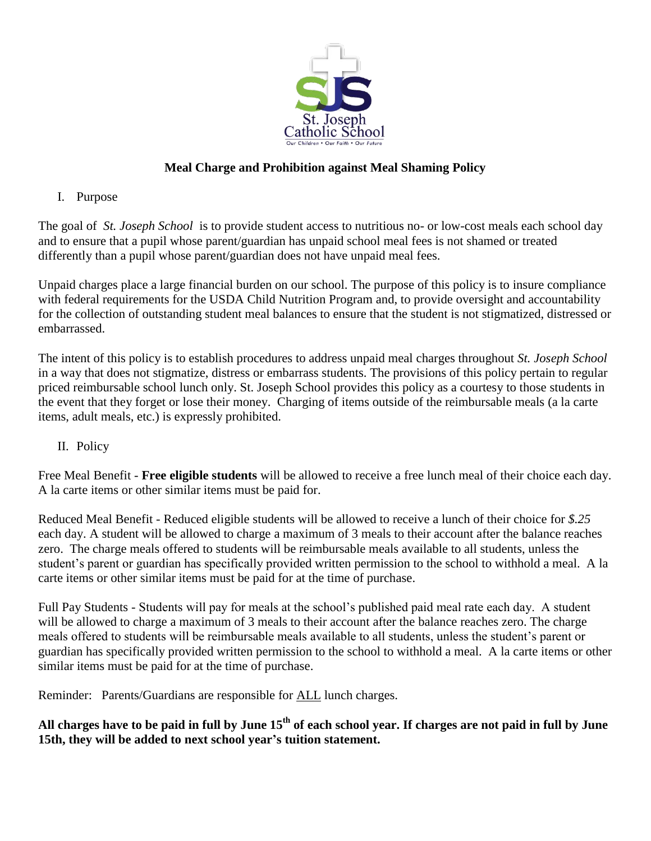

# **Meal Charge and Prohibition against Meal Shaming Policy**

I. Purpose

The goal of *St. Joseph School* is to provide student access to nutritious no- or low-cost meals each school day and to ensure that a pupil whose parent/guardian has unpaid school meal fees is not shamed or treated differently than a pupil whose parent/guardian does not have unpaid meal fees.

Unpaid charges place a large financial burden on our school. The purpose of this policy is to insure compliance with federal requirements for the USDA Child Nutrition Program and, to provide oversight and accountability for the collection of outstanding student meal balances to ensure that the student is not stigmatized, distressed or embarrassed.

The intent of this policy is to establish procedures to address unpaid meal charges throughout *St. Joseph School* in a way that does not stigmatize, distress or embarrass students. The provisions of this policy pertain to regular priced reimbursable school lunch only. St. Joseph School provides this policy as a courtesy to those students in the event that they forget or lose their money. Charging of items outside of the reimbursable meals (a la carte items, adult meals, etc.) is expressly prohibited.

# II. Policy

Free Meal Benefit - **Free eligible students** will be allowed to receive a free lunch meal of their choice each day. A la carte items or other similar items must be paid for.

Reduced Meal Benefit - Reduced eligible students will be allowed to receive a lunch of their choice for *\$.25* each day. A student will be allowed to charge a maximum of 3 meals to their account after the balance reaches zero. The charge meals offered to students will be reimbursable meals available to all students, unless the student's parent or guardian has specifically provided written permission to the school to withhold a meal. A la carte items or other similar items must be paid for at the time of purchase.

Full Pay Students - Students will pay for meals at the school's published paid meal rate each day. A student will be allowed to charge a maximum of 3 meals to their account after the balance reaches zero. The charge meals offered to students will be reimbursable meals available to all students, unless the student's parent or guardian has specifically provided written permission to the school to withhold a meal. A la carte items or other similar items must be paid for at the time of purchase.

Reminder: Parents/Guardians are responsible for ALL lunch charges.

# **All charges have to be paid in full by June 15th of each school year. If charges are not paid in full by June 15th, they will be added to next school year's tuition statement.**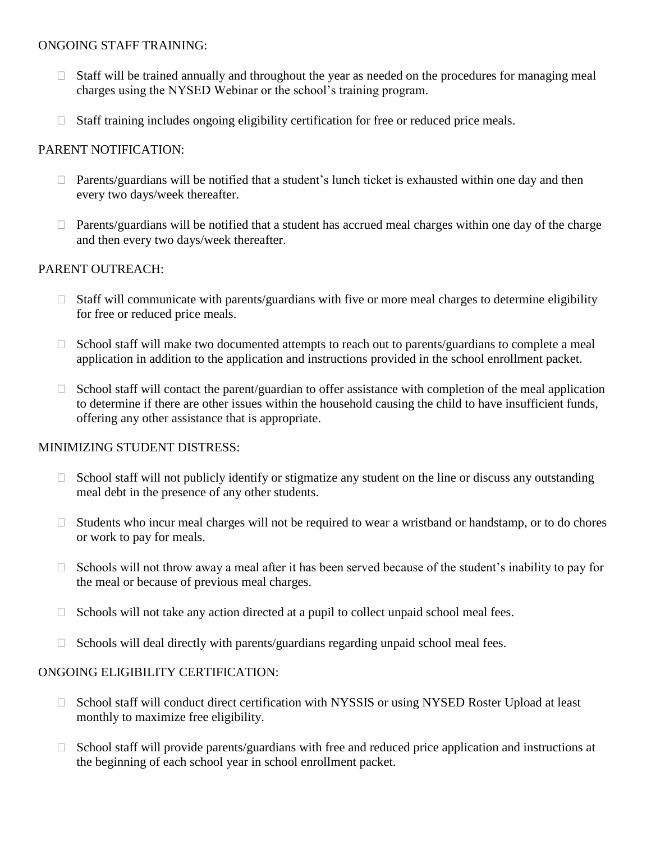#### ONGOING STAFF TRAINING:

- $\Box$  Staff will be trained annually and throughout the year as needed on the procedures for managing meal charges using the NYSED Webinar or the school's training program.
- $\Box$  Staff training includes ongoing eligibility certification for free or reduced price meals.

## PARENT NOTIFICATION:

- $\Box$  Parents/guardians will be notified that a student's lunch ticket is exhausted within one day and then every two days/week thereafter.
- $\Box$  Parents/guardians will be notified that a student has accrued meal charges within one day of the charge and then every two days/week thereafter.

## PARENT OUTREACH:

- $\Box$  Staff will communicate with parents/guardians with five or more meal charges to determine eligibility for free or reduced price meals.
- $\Box$  School staff will make two documented attempts to reach out to parents/guardians to complete a meal application in addition to the application and instructions provided in the school enrollment packet.
- $\Box$  School staff will contact the parent/guardian to offer assistance with completion of the meal application to determine if there are other issues within the household causing the child to have insufficient funds, offering any other assistance that is appropriate.

### MINIMIZING STUDENT DISTRESS:

- $\Box$  School staff will not publicly identify or stigmatize any student on the line or discuss any outstanding meal debt in the presence of any other students.
- $\Box$  Students who incur meal charges will not be required to wear a wristband or handstamp, or to do chores or work to pay for meals.
- $\Box$  Schools will not throw away a meal after it has been served because of the student's inability to pay for the meal or because of previous meal charges.
- $\Box$  Schools will not take any action directed at a pupil to collect unpaid school meal fees.
- $\Box$  Schools will deal directly with parents/guardians regarding unpaid school meal fees.

### ONGOING ELIGIBILITY CERTIFICATION:

- $\Box$  School staff will conduct direct certification with NYSSIS or using NYSED Roster Upload at least monthly to maximize free eligibility.
- $\Box$  School staff will provide parents/guardians with free and reduced price application and instructions at the beginning of each school year in school enrollment packet.